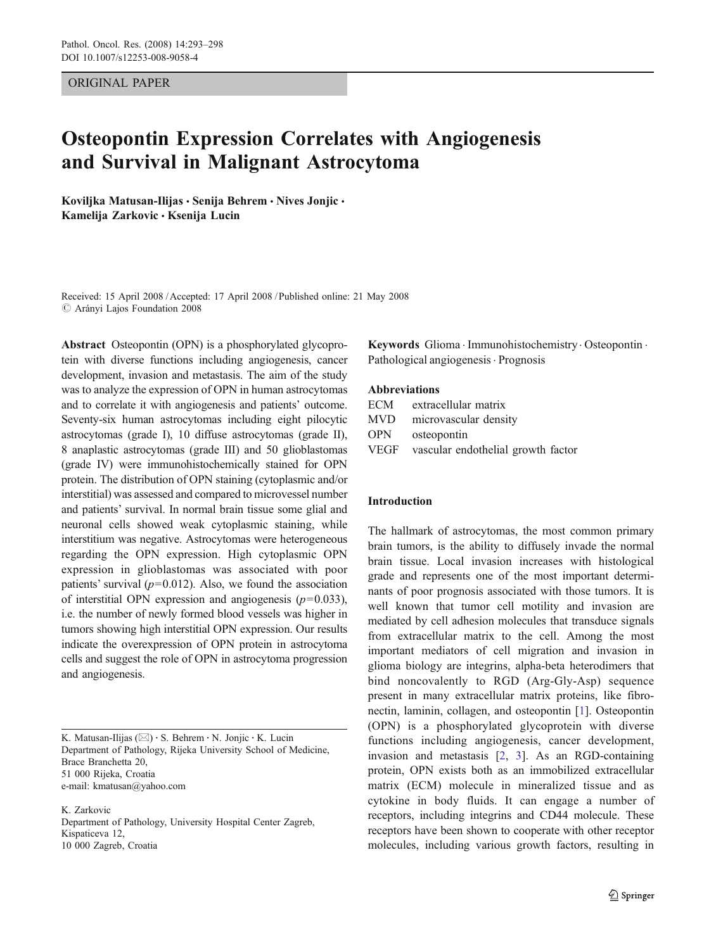## ORIGINAL PAPER

# Osteopontin Expression Correlates with Angiogenesis and Survival in Malignant Astrocytoma

Koviljka Matusan-Ilijas · Senija Behrem · Nives Jonjic · Kamelija Zarkovic · Ksenija Lucin

Received: 15 April 2008 /Accepted: 17 April 2008 / Published online: 21 May 2008  $\oslash$  Arányi Lajos Foundation 2008

Abstract Osteopontin (OPN) is a phosphorylated glycoprotein with diverse functions including angiogenesis, cancer development, invasion and metastasis. The aim of the study was to analyze the expression of OPN in human astrocytomas and to correlate it with angiogenesis and patients' outcome. Seventy-six human astrocytomas including eight pilocytic astrocytomas (grade I), 10 diffuse astrocytomas (grade II), 8 anaplastic astrocytomas (grade III) and 50 glioblastomas (grade IV) were immunohistochemically stained for OPN protein. The distribution of OPN staining (cytoplasmic and/or interstitial) was assessed and compared to microvessel number and patients' survival. In normal brain tissue some glial and neuronal cells showed weak cytoplasmic staining, while interstitium was negative. Astrocytomas were heterogeneous regarding the OPN expression. High cytoplasmic OPN expression in glioblastomas was associated with poor patients' survival  $(p=0.012)$ . Also, we found the association of interstitial OPN expression and angiogenesis  $(p=0.033)$ , i.e. the number of newly formed blood vessels was higher in tumors showing high interstitial OPN expression. Our results indicate the overexpression of OPN protein in astrocytoma cells and suggest the role of OPN in astrocytoma progression and angiogenesis.

K. Matusan-Ilijas (*\**) : S. Behrem : N. Jonjic : K. Lucin Department of Pathology, Rijeka University School of Medicine, Brace Branchetta 20, 51 000 Rijeka, Croatia e-mail: kmatusan@yahoo.com

K. Zarkovic

Department of Pathology, University Hospital Center Zagreb, Kispaticeva 12, 10 000 Zagreb, Croatia

Keywords Glioma . Immunohistochemistry . Osteopontin . Pathological angiogenesis · Prognosis

## Abbreviations

|            | ECM extracellular matrix                |
|------------|-----------------------------------------|
|            | MVD microvascular density               |
| <b>OPN</b> | osteopontin                             |
|            | VEGF vascular endothelial growth factor |

# Introduction

The hallmark of astrocytomas, the most common primary brain tumors, is the ability to diffusely invade the normal brain tissue. Local invasion increases with histological grade and represents one of the most important determinants of poor prognosis associated with those tumors. It is well known that tumor cell motility and invasion are mediated by cell adhesion molecules that transduce signals from extracellular matrix to the cell. Among the most important mediators of cell migration and invasion in glioma biology are integrins, alpha-beta heterodimers that bind noncovalently to RGD (Arg-Gly-Asp) sequence present in many extracellular matrix proteins, like fibronectin, laminin, collagen, and osteopontin [[1\]](#page-4-0). Osteopontin (OPN) is a phosphorylated glycoprotein with diverse functions including angiogenesis, cancer development, invasion and metastasis [[2,](#page-4-0) [3](#page-4-0)]. As an RGD-containing protein, OPN exists both as an immobilized extracellular matrix (ECM) molecule in mineralized tissue and as cytokine in body fluids. It can engage a number of receptors, including integrins and CD44 molecule. These receptors have been shown to cooperate with other receptor molecules, including various growth factors, resulting in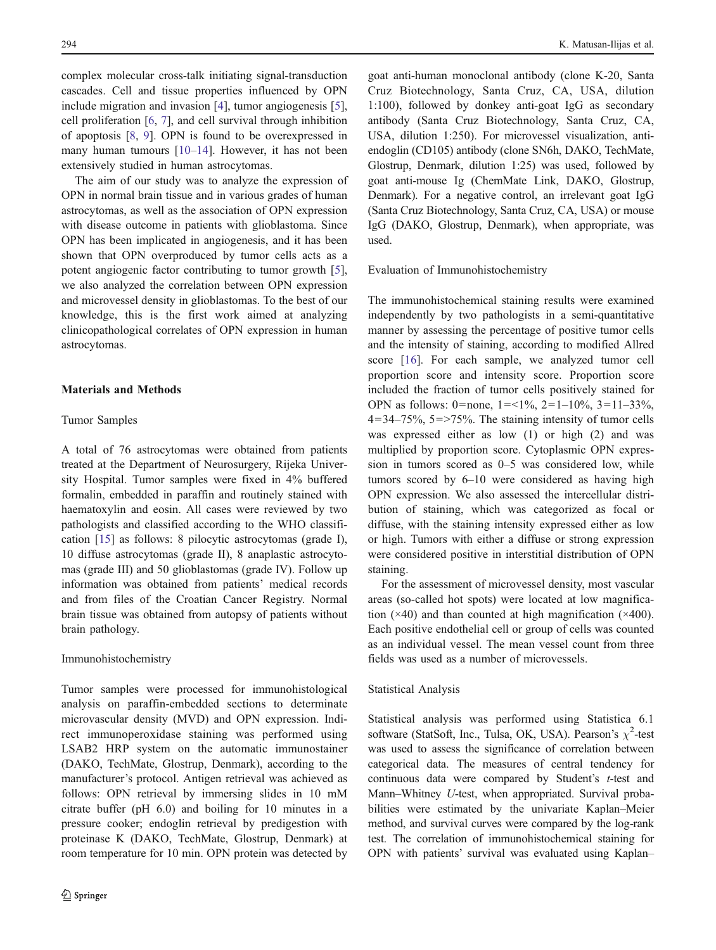complex molecular cross-talk initiating signal-transduction cascades. Cell and tissue properties influenced by OPN include migration and invasion [\[4](#page-4-0)], tumor angiogenesis [\[5](#page-4-0)], cell proliferation [\[6](#page-4-0), [7\]](#page-4-0), and cell survival through inhibition of apoptosis [[8,](#page-4-0) [9](#page-4-0)]. OPN is found to be overexpressed in many human tumours [[10](#page-4-0)–[14\]](#page-4-0). However, it has not been extensively studied in human astrocytomas.

The aim of our study was to analyze the expression of OPN in normal brain tissue and in various grades of human astrocytomas, as well as the association of OPN expression with disease outcome in patients with glioblastoma. Since OPN has been implicated in angiogenesis, and it has been shown that OPN overproduced by tumor cells acts as a potent angiogenic factor contributing to tumor growth [\[5](#page-4-0)], we also analyzed the correlation between OPN expression and microvessel density in glioblastomas. To the best of our knowledge, this is the first work aimed at analyzing clinicopathological correlates of OPN expression in human astrocytomas.

## Materials and Methods

### Tumor Samples

A total of 76 astrocytomas were obtained from patients treated at the Department of Neurosurgery, Rijeka University Hospital. Tumor samples were fixed in 4% buffered formalin, embedded in paraffin and routinely stained with haematoxylin and eosin. All cases were reviewed by two pathologists and classified according to the WHO classification [\[15](#page-5-0)] as follows: 8 pilocytic astrocytomas (grade I), 10 diffuse astrocytomas (grade II), 8 anaplastic astrocytomas (grade III) and 50 glioblastomas (grade IV). Follow up information was obtained from patients' medical records and from files of the Croatian Cancer Registry. Normal brain tissue was obtained from autopsy of patients without brain pathology.

### Immunohistochemistry

Tumor samples were processed for immunohistological analysis on paraffin-embedded sections to determinate microvascular density (MVD) and OPN expression. Indirect immunoperoxidase staining was performed using LSAB2 HRP system on the automatic immunostainer (DAKO, TechMate, Glostrup, Denmark), according to the manufacturer's protocol. Antigen retrieval was achieved as follows: OPN retrieval by immersing slides in 10 mM citrate buffer (pH 6.0) and boiling for 10 minutes in a pressure cooker; endoglin retrieval by predigestion with proteinase K (DAKO, TechMate, Glostrup, Denmark) at room temperature for 10 min. OPN protein was detected by goat anti-human monoclonal antibody (clone K-20, Santa Cruz Biotechnology, Santa Cruz, CA, USA, dilution 1:100), followed by donkey anti-goat IgG as secondary antibody (Santa Cruz Biotechnology, Santa Cruz, CA, USA, dilution 1:250). For microvessel visualization, antiendoglin (CD105) antibody (clone SN6h, DAKO, TechMate, Glostrup, Denmark, dilution 1:25) was used, followed by goat anti-mouse Ig (ChemMate Link, DAKO, Glostrup, Denmark). For a negative control, an irrelevant goat IgG (Santa Cruz Biotechnology, Santa Cruz, CA, USA) or mouse IgG (DAKO, Glostrup, Denmark), when appropriate, was used.

Evaluation of Immunohistochemistry

The immunohistochemical staining results were examined independently by two pathologists in a semi-quantitative manner by assessing the percentage of positive tumor cells and the intensity of staining, according to modified Allred score [[16\]](#page-5-0). For each sample, we analyzed tumor cell proportion score and intensity score. Proportion score included the fraction of tumor cells positively stained for OPN as follows: 0=none,  $1 = 1\%, 2 = 1 - 10\%, 3 = 11 - 33\%,$  $4=34-75\%$ ,  $5=575\%$ . The staining intensity of tumor cells was expressed either as low (1) or high (2) and was multiplied by proportion score. Cytoplasmic OPN expression in tumors scored as 0–5 was considered low, while tumors scored by 6–10 were considered as having high OPN expression. We also assessed the intercellular distribution of staining, which was categorized as focal or diffuse, with the staining intensity expressed either as low or high. Tumors with either a diffuse or strong expression were considered positive in interstitial distribution of OPN staining.

For the assessment of microvessel density, most vascular areas (so-called hot spots) were located at low magnification  $(\times 40)$  and than counted at high magnification  $(\times 400)$ . Each positive endothelial cell or group of cells was counted as an individual vessel. The mean vessel count from three fields was used as a number of microvessels.

# Statistical Analysis

Statistical analysis was performed using Statistica 6.1 software (StatSoft, Inc., Tulsa, OK, USA). Pearson's  $\chi^2$ -test was used to assess the significance of correlation between categorical data. The measures of central tendency for continuous data were compared by Student's t-test and Mann–Whitney U-test, when appropriated. Survival probabilities were estimated by the univariate Kaplan–Meier method, and survival curves were compared by the log-rank test. The correlation of immunohistochemical staining for OPN with patients' survival was evaluated using Kaplan–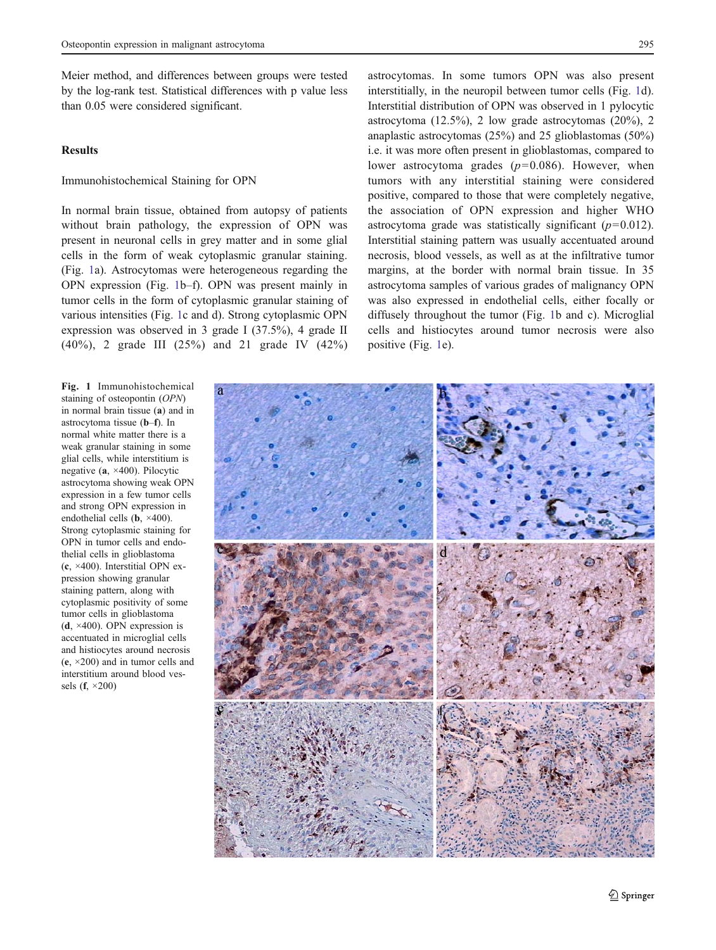Meier method, and differences between groups were tested by the log-rank test. Statistical differences with p value less than 0.05 were considered significant.

# Results

## Immunohistochemical Staining for OPN

In normal brain tissue, obtained from autopsy of patients without brain pathology, the expression of OPN was present in neuronal cells in grey matter and in some glial cells in the form of weak cytoplasmic granular staining. (Fig. 1a). Astrocytomas were heterogeneous regarding the OPN expression (Fig. 1b–f). OPN was present mainly in tumor cells in the form of cytoplasmic granular staining of various intensities (Fig. 1c and d). Strong cytoplasmic OPN expression was observed in 3 grade I (37.5%), 4 grade II (40%), 2 grade III (25%) and 21 grade IV (42%)

Fig. 1 Immunohistochemical staining of osteopontin (OPN) in normal brain tissue (a) and in astrocytoma tissue (b–f). In normal white matter there is a weak granular staining in some glial cells, while interstitium is negative (a, ×400). Pilocytic astrocytoma showing weak OPN expression in a few tumor cells and strong OPN expression in endothelial cells (b, ×400). Strong cytoplasmic staining for OPN in tumor cells and endothelial cells in glioblastoma  $(c, \times 400)$ . Interstitial OPN expression showing granular staining pattern, along with cytoplasmic positivity of some tumor cells in glioblastoma  $(d, \times 400)$ . OPN expression is accentuated in microglial cells and histiocytes around necrosis (e, ×200) and in tumor cells and interstitium around blood vessels  $(f, \times 200)$ 

astrocytomas. In some tumors OPN was also present interstitially, in the neuropil between tumor cells (Fig. 1d). Interstitial distribution of OPN was observed in 1 pylocytic astrocytoma (12.5%), 2 low grade astrocytomas (20%), 2 anaplastic astrocytomas (25%) and 25 glioblastomas (50%) i.e. it was more often present in glioblastomas, compared to lower astrocytoma grades  $(p=0.086)$ . However, when tumors with any interstitial staining were considered positive, compared to those that were completely negative, the association of OPN expression and higher WHO astrocytoma grade was statistically significant  $(p=0.012)$ . Interstitial staining pattern was usually accentuated around necrosis, blood vessels, as well as at the infiltrative tumor margins, at the border with normal brain tissue. In 35 astrocytoma samples of various grades of malignancy OPN was also expressed in endothelial cells, either focally or diffusely throughout the tumor (Fig. 1b and c). Microglial cells and histiocytes around tumor necrosis were also positive (Fig. 1e).

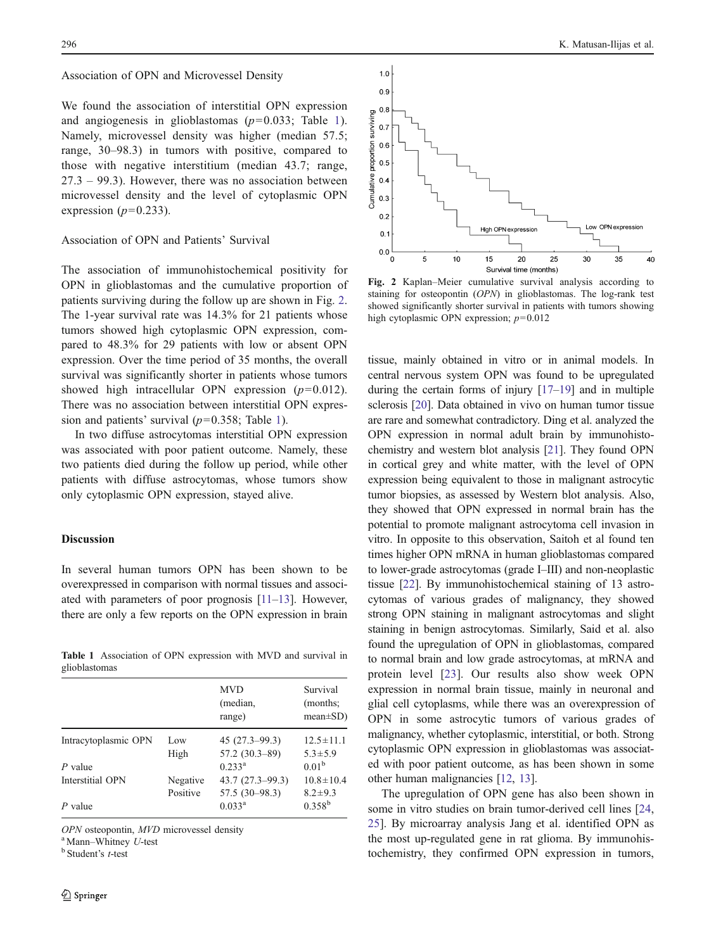### Association of OPN and Microvessel Density

We found the association of interstitial OPN expression and angiogenesis in glioblastomas  $(p=0.033;$  Table 1). Namely, microvessel density was higher (median 57.5; range, 30–98.3) in tumors with positive, compared to those with negative interstitium (median 43.7; range, 27.3 – 99.3). However, there was no association between microvessel density and the level of cytoplasmic OPN expression  $(p=0.233)$ .

## Association of OPN and Patients' Survival

The association of immunohistochemical positivity for OPN in glioblastomas and the cumulative proportion of patients surviving during the follow up are shown in Fig. 2. The 1-year survival rate was 14.3% for 21 patients whose tumors showed high cytoplasmic OPN expression, compared to 48.3% for 29 patients with low or absent OPN expression. Over the time period of 35 months, the overall survival was significantly shorter in patients whose tumors showed high intracellular OPN expression  $(p=0.012)$ . There was no association between interstitial OPN expression and patients' survival  $(p=0.358;$  Table 1).

In two diffuse astrocytomas interstitial OPN expression was associated with poor patient outcome. Namely, these two patients died during the follow up period, while other patients with diffuse astrocytomas, whose tumors show only cytoplasmic OPN expression, stayed alive.

# Discussion

In several human tumors OPN has been shown to be overexpressed in comparison with normal tissues and associated with parameters of poor prognosis [\[11](#page-4-0)–[13](#page-4-0)]. However, there are only a few reports on the OPN expression in brain

Table 1 Association of OPN expression with MVD and survival in glioblastomas

|                      |                      | <b>MVD</b><br>(median,<br>range)       | Survival<br>(months:<br>$mean \pm SD$ ) |
|----------------------|----------------------|----------------------------------------|-----------------------------------------|
| Intracytoplasmic OPN | Low<br>High          | $45(27.3-99.3)$<br>$57.2(30.3-89)$     | $12.5 \pm 11.1$<br>$5.3 \pm 5.9$        |
| P value              |                      | $0.233^a$                              | 0.01 <sup>b</sup>                       |
| Interstitial OPN     | Negative<br>Positive | $43.7(27.3 - 99.3)$<br>$57.5(30-98.3)$ | $10.8 \pm 10.4$<br>$8.2 \pm 9.3$        |
| P value              |                      | $0.033^{\rm a}$                        | $0.358^{b}$                             |
|                      |                      |                                        |                                         |

OPN osteopontin, MVD microvessel density

 $\sum_{b}^{a}$ Mann–Whitney *U*-test b Student's *t*-test





Fig. 2 Kaplan–Meier cumulative survival analysis according to staining for osteopontin (OPN) in glioblastomas. The log-rank test showed significantly shorter survival in patients with tumors showing high cytoplasmic OPN expression;  $p=0.012$ 

tissue, mainly obtained in vitro or in animal models. In central nervous system OPN was found to be upregulated during the certain forms of injury  $[17-19]$  $[17-19]$  $[17-19]$  $[17-19]$  $[17-19]$  and in multiple sclerosis [\[20](#page-5-0)]. Data obtained in vivo on human tumor tissue are rare and somewhat contradictory. Ding et al. analyzed the OPN expression in normal adult brain by immunohistochemistry and western blot analysis [[21](#page-5-0)]. They found OPN in cortical grey and white matter, with the level of OPN expression being equivalent to those in malignant astrocytic tumor biopsies, as assessed by Western blot analysis. Also, they showed that OPN expressed in normal brain has the potential to promote malignant astrocytoma cell invasion in vitro. In opposite to this observation, Saitoh et al found ten times higher OPN mRNA in human glioblastomas compared to lower-grade astrocytomas (grade I–III) and non-neoplastic tissue [\[22](#page-5-0)]. By immunohistochemical staining of 13 astrocytomas of various grades of malignancy, they showed strong OPN staining in malignant astrocytomas and slight staining in benign astrocytomas. Similarly, Said et al. also found the upregulation of OPN in glioblastomas, compared to normal brain and low grade astrocytomas, at mRNA and protein level [[23](#page-5-0)]. Our results also show week OPN expression in normal brain tissue, mainly in neuronal and glial cell cytoplasms, while there was an overexpression of OPN in some astrocytic tumors of various grades of malignancy, whether cytoplasmic, interstitial, or both. Strong cytoplasmic OPN expression in glioblastomas was associated with poor patient outcome, as has been shown in some other human malignancies [\[12](#page-4-0), [13\]](#page-4-0).

The upregulation of OPN gene has also been shown in some in vitro studies on brain tumor-derived cell lines [[24,](#page-5-0) [25](#page-5-0)]. By microarray analysis Jang et al. identified OPN as the most up-regulated gene in rat glioma. By immunohistochemistry, they confirmed OPN expression in tumors,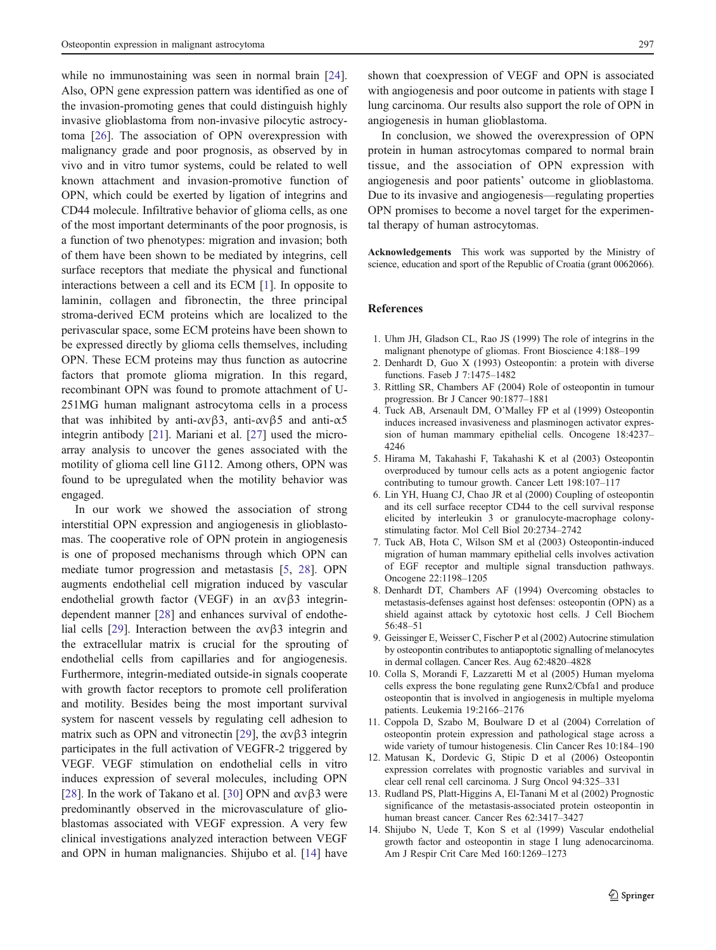<span id="page-4-0"></span>while no immunostaining was seen in normal brain [\[24](#page-5-0)]. Also, OPN gene expression pattern was identified as one of the invasion-promoting genes that could distinguish highly invasive glioblastoma from non-invasive pilocytic astrocytoma [[26\]](#page-5-0). The association of OPN overexpression with malignancy grade and poor prognosis, as observed by in vivo and in vitro tumor systems, could be related to well known attachment and invasion-promotive function of OPN, which could be exerted by ligation of integrins and CD44 molecule. Infiltrative behavior of glioma cells, as one of the most important determinants of the poor prognosis, is a function of two phenotypes: migration and invasion; both of them have been shown to be mediated by integrins, cell surface receptors that mediate the physical and functional interactions between a cell and its ECM [1]. In opposite to laminin, collagen and fibronectin, the three principal stroma-derived ECM proteins which are localized to the perivascular space, some ECM proteins have been shown to be expressed directly by glioma cells themselves, including OPN. These ECM proteins may thus function as autocrine factors that promote glioma migration. In this regard, recombinant OPN was found to promote attachment of U-251MG human malignant astrocytoma cells in a process that was inhibited by anti- $αvβ3$ , anti- $αvβ5$  and anti- $α5$ integrin antibody [[21\]](#page-5-0). Mariani et al. [\[27](#page-5-0)] used the microarray analysis to uncover the genes associated with the motility of glioma cell line G112. Among others, OPN was found to be upregulated when the motility behavior was engaged.

In our work we showed the association of strong interstitial OPN expression and angiogenesis in glioblastomas. The cooperative role of OPN protein in angiogenesis is one of proposed mechanisms through which OPN can mediate tumor progression and metastasis [5, [28](#page-5-0)]. OPN augments endothelial cell migration induced by vascular endothelial growth factor (VEGF) in an αvβ3 integrindependent manner [\[28](#page-5-0)] and enhances survival of endothe-lial cells [[29\]](#page-5-0). Interaction between the  $\alpha \nu \beta$ 3 integrin and the extracellular matrix is crucial for the sprouting of endothelial cells from capillaries and for angiogenesis. Furthermore, integrin-mediated outside-in signals cooperate with growth factor receptors to promote cell proliferation and motility. Besides being the most important survival system for nascent vessels by regulating cell adhesion to matrix such as OPN and vitronectin [[29](#page-5-0)], the  $\alpha \nu \beta$ 3 integrin participates in the full activation of VEGFR-2 triggered by VEGF. VEGF stimulation on endothelial cells in vitro induces expression of several molecules, including OPN [\[28](#page-5-0)]. In the work of Takano et al. [[30\]](#page-5-0) OPN and  $\alpha \nu \beta$ 3 were predominantly observed in the microvasculature of glioblastomas associated with VEGF expression. A very few clinical investigations analyzed interaction between VEGF and OPN in human malignancies. Shijubo et al. [14] have

shown that coexpression of VEGF and OPN is associated with angiogenesis and poor outcome in patients with stage I lung carcinoma. Our results also support the role of OPN in angiogenesis in human glioblastoma.

In conclusion, we showed the overexpression of OPN protein in human astrocytomas compared to normal brain tissue, and the association of OPN expression with angiogenesis and poor patients' outcome in glioblastoma. Due to its invasive and angiogenesis—regulating properties OPN promises to become a novel target for the experimental therapy of human astrocytomas.

Acknowledgements This work was supported by the Ministry of science, education and sport of the Republic of Croatia (grant 0062066).

### References

- 1. Uhm JH, Gladson CL, Rao JS (1999) The role of integrins in the malignant phenotype of gliomas. Front Bioscience 4:188–199
- 2. Denhardt D, Guo X (1993) Osteopontin: a protein with diverse functions. Faseb J 7:1475–1482
- 3. Rittling SR, Chambers AF (2004) Role of osteopontin in tumour progression. Br J Cancer 90:1877–1881
- 4. Tuck AB, Arsenault DM, O'Malley FP et al (1999) Osteopontin induces increased invasiveness and plasminogen activator expression of human mammary epithelial cells. Oncogene 18:4237– 4246
- 5. Hirama M, Takahashi F, Takahashi K et al (2003) Osteopontin overproduced by tumour cells acts as a potent angiogenic factor contributing to tumour growth. Cancer Lett 198:107–117
- 6. Lin YH, Huang CJ, Chao JR et al (2000) Coupling of osteopontin and its cell surface receptor CD44 to the cell survival response elicited by interleukin 3 or granulocyte-macrophage colonystimulating factor. Mol Cell Biol 20:2734–2742
- 7. Tuck AB, Hota C, Wilson SM et al (2003) Osteopontin-induced migration of human mammary epithelial cells involves activation of EGF receptor and multiple signal transduction pathways. Oncogene 22:1198–1205
- 8. Denhardt DT, Chambers AF (1994) Overcoming obstacles to metastasis-defenses against host defenses: osteopontin (OPN) as a shield against attack by cytotoxic host cells. J Cell Biochem 56:48–51
- 9. Geissinger E, Weisser C, Fischer P et al (2002) Autocrine stimulation by osteopontin contributes to antiapoptotic signalling of melanocytes in dermal collagen. Cancer Res. Aug 62:4820–4828
- 10. Colla S, Morandi F, Lazzaretti M et al (2005) Human myeloma cells express the bone regulating gene Runx2/Cbfa1 and produce osteopontin that is involved in angiogenesis in multiple myeloma patients. Leukemia 19:2166–2176
- 11. Coppola D, Szabo M, Boulware D et al (2004) Correlation of osteopontin protein expression and pathological stage across a wide variety of tumour histogenesis. Clin Cancer Res 10:184–190
- 12. Matusan K, Dordevic G, Stipic D et al (2006) Osteopontin expression correlates with prognostic variables and survival in clear cell renal cell carcinoma. J Surg Oncol 94:325–331
- 13. Rudland PS, Platt-Higgins A, El-Tanani M et al (2002) Prognostic significance of the metastasis-associated protein osteopontin in human breast cancer. Cancer Res 62:3417–3427
- 14. Shijubo N, Uede T, Kon S et al (1999) Vascular endothelial growth factor and osteopontin in stage I lung adenocarcinoma. Am J Respir Crit Care Med 160:1269–1273